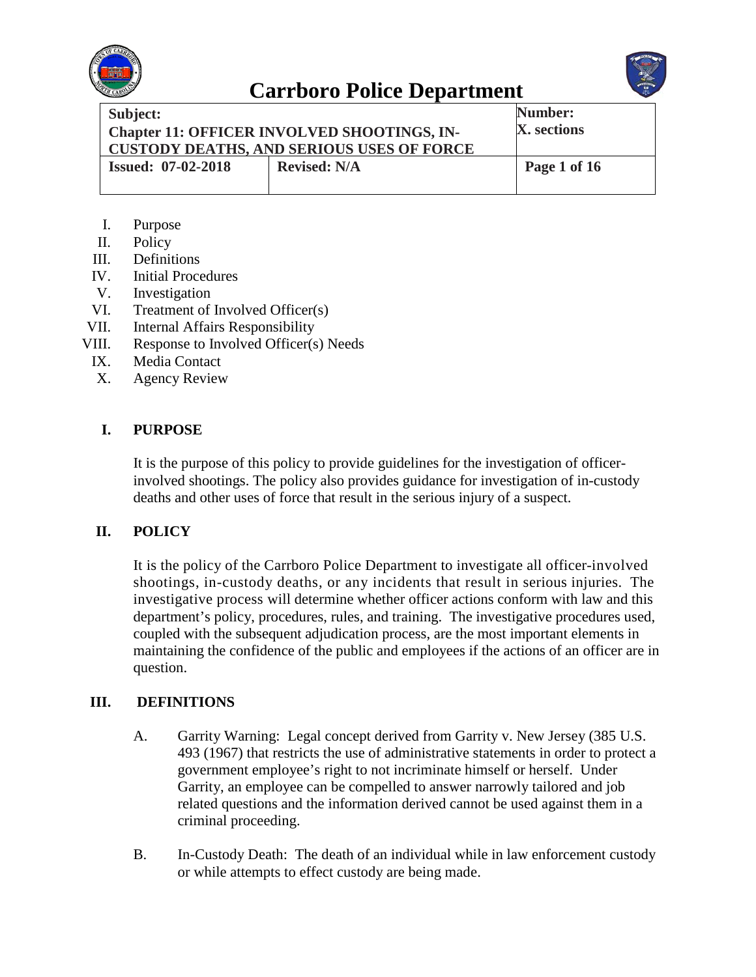



| Subject:                                                                                               |                     | Number:      |
|--------------------------------------------------------------------------------------------------------|---------------------|--------------|
| <b>Chapter 11: OFFICER INVOLVED SHOOTINGS, IN-</b><br><b>CUSTODY DEATHS, AND SERIOUS USES OF FORCE</b> |                     | X. sections  |
| <b>Issued: 07-02-2018</b>                                                                              | <b>Revised: N/A</b> | Page 1 of 16 |

- I. Purpose
- II. Policy
- III. Definitions
- IV. Initial Procedures
- V. Investigation
- VI. Treatment of Involved Officer(s)<br>VII. Internal Affairs Responsibility
- Internal Affairs Responsibility
- VIII. Response to Involved Officer(s) Needs
- IX. Media Contact
- X. Agency Review

### **I. PURPOSE**

It is the purpose of this policy to provide guidelines for the investigation of officerinvolved shootings. The policy also provides guidance for investigation of in-custody deaths and other uses of force that result in the serious injury of a suspect.

### **II. POLICY**

It is the policy of the Carrboro Police Department to investigate all officer-involved shootings, in-custody deaths, or any incidents that result in serious injuries. The investigative process will determine whether officer actions conform with law and this department's policy, procedures, rules, and training. The investigative procedures used, coupled with the subsequent adjudication process, are the most important elements in maintaining the confidence of the public and employees if the actions of an officer are in question.

#### **III. DEFINITIONS**

- A. Garrity Warning: Legal concept derived from Garrity v. New Jersey (385 U.S. 493 (1967) that restricts the use of administrative statements in order to protect a government employee's right to not incriminate himself or herself. Under Garrity, an employee can be compelled to answer narrowly tailored and job related questions and the information derived cannot be used against them in a criminal proceeding.
- B. In-Custody Death: The death of an individual while in law enforcement custody or while attempts to effect custody are being made.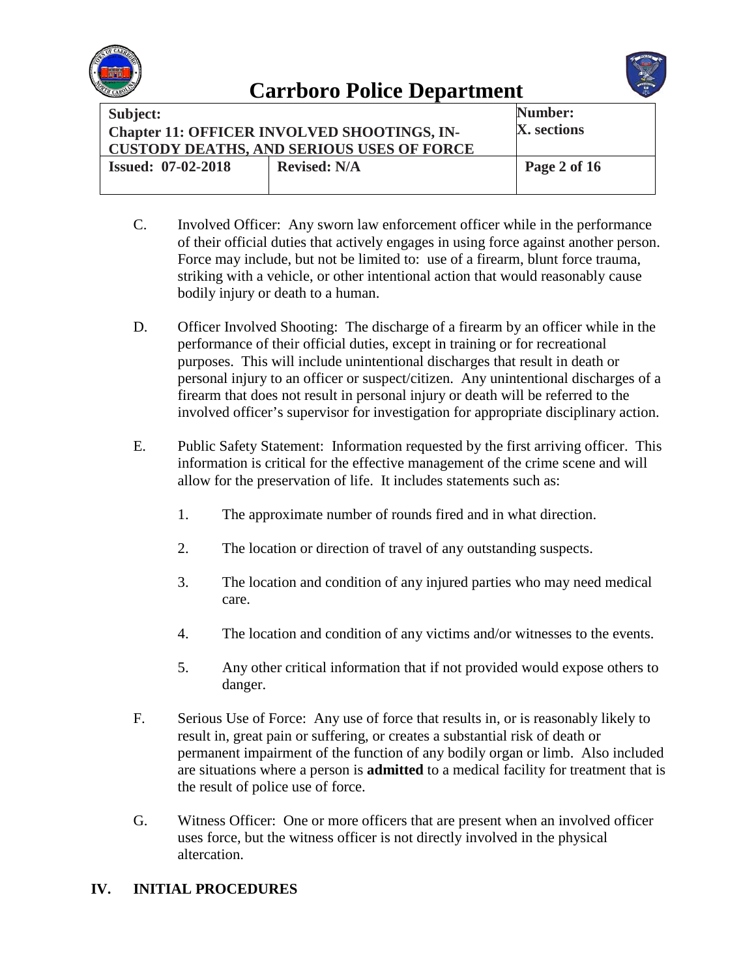



| Subject:<br><b>Chapter 11: OFFICER INVOLVED SHOOTINGS, IN-</b><br><b>CUSTODY DEATHS, AND SERIOUS USES OF FORCE</b> |                     | Number:<br>X. sections |
|--------------------------------------------------------------------------------------------------------------------|---------------------|------------------------|
| <b>Issued: 07-02-2018</b>                                                                                          | <b>Revised: N/A</b> | Page 2 of 16           |

- C. Involved Officer: Any sworn law enforcement officer while in the performance of their official duties that actively engages in using force against another person. Force may include, but not be limited to: use of a firearm, blunt force trauma, striking with a vehicle, or other intentional action that would reasonably cause bodily injury or death to a human.
- D. Officer Involved Shooting: The discharge of a firearm by an officer while in the performance of their official duties, except in training or for recreational purposes. This will include unintentional discharges that result in death or personal injury to an officer or suspect/citizen. Any unintentional discharges of a firearm that does not result in personal injury or death will be referred to the involved officer's supervisor for investigation for appropriate disciplinary action.
- E. Public Safety Statement: Information requested by the first arriving officer. This information is critical for the effective management of the crime scene and will allow for the preservation of life. It includes statements such as:
	- 1. The approximate number of rounds fired and in what direction.
	- 2. The location or direction of travel of any outstanding suspects.
	- 3. The location and condition of any injured parties who may need medical care.
	- 4. The location and condition of any victims and/or witnesses to the events.
	- 5. Any other critical information that if not provided would expose others to danger.
- F. Serious Use of Force: Any use of force that results in, or is reasonably likely to result in, great pain or suffering, or creates a substantial risk of death or permanent impairment of the function of any bodily organ or limb. Also included are situations where a person is **admitted** to a medical facility for treatment that is the result of police use of force.
- G. Witness Officer: One or more officers that are present when an involved officer uses force, but the witness officer is not directly involved in the physical altercation.

### **IV. INITIAL PROCEDURES**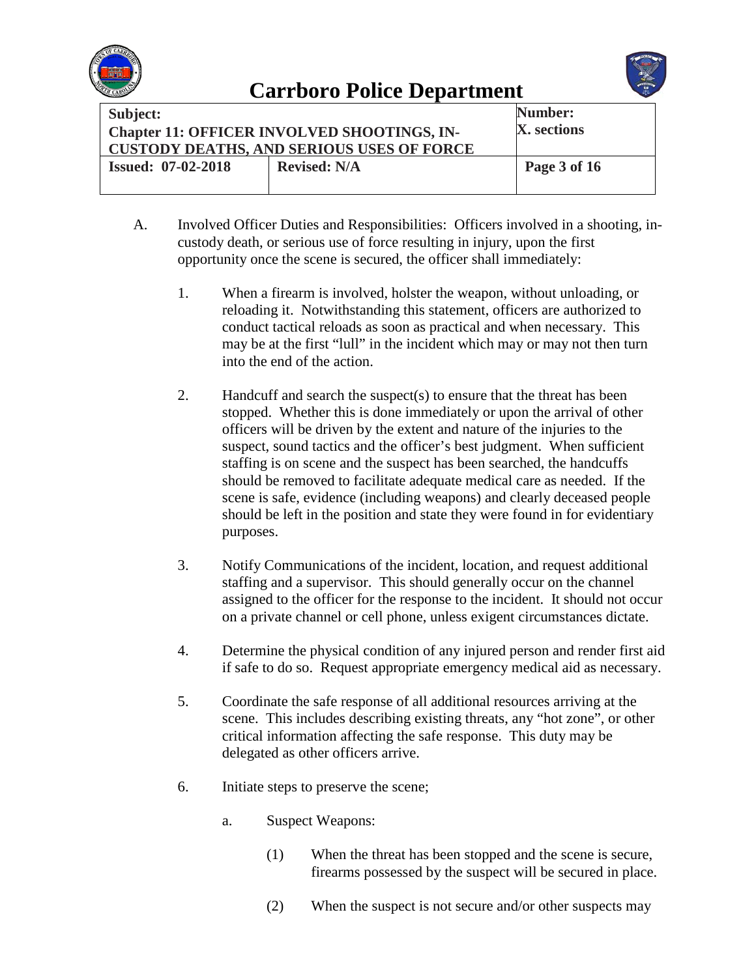



| Subject:                  | <b>Chapter 11: OFFICER INVOLVED SHOOTINGS, IN-</b><br><b>CUSTODY DEATHS, AND SERIOUS USES OF FORCE</b> | Number:<br>X. sections |
|---------------------------|--------------------------------------------------------------------------------------------------------|------------------------|
| <b>Issued: 07-02-2018</b> | <b>Revised: N/A</b>                                                                                    | Page 3 of 16           |

- A. Involved Officer Duties and Responsibilities: Officers involved in a shooting, incustody death, or serious use of force resulting in injury, upon the first opportunity once the scene is secured, the officer shall immediately:
	- 1. When a firearm is involved, holster the weapon, without unloading, or reloading it. Notwithstanding this statement, officers are authorized to conduct tactical reloads as soon as practical and when necessary. This may be at the first "lull" in the incident which may or may not then turn into the end of the action.
	- 2. Handcuff and search the suspect(s) to ensure that the threat has been stopped. Whether this is done immediately or upon the arrival of other officers will be driven by the extent and nature of the injuries to the suspect, sound tactics and the officer's best judgment. When sufficient staffing is on scene and the suspect has been searched, the handcuffs should be removed to facilitate adequate medical care as needed. If the scene is safe, evidence (including weapons) and clearly deceased people should be left in the position and state they were found in for evidentiary purposes.
	- 3. Notify Communications of the incident, location, and request additional staffing and a supervisor. This should generally occur on the channel assigned to the officer for the response to the incident. It should not occur on a private channel or cell phone, unless exigent circumstances dictate.
	- 4. Determine the physical condition of any injured person and render first aid if safe to do so. Request appropriate emergency medical aid as necessary.
	- 5. Coordinate the safe response of all additional resources arriving at the scene. This includes describing existing threats, any "hot zone", or other critical information affecting the safe response. This duty may be delegated as other officers arrive.
	- 6. Initiate steps to preserve the scene;
		- a. Suspect Weapons:
			- (1) When the threat has been stopped and the scene is secure, firearms possessed by the suspect will be secured in place.
			- (2) When the suspect is not secure and/or other suspects may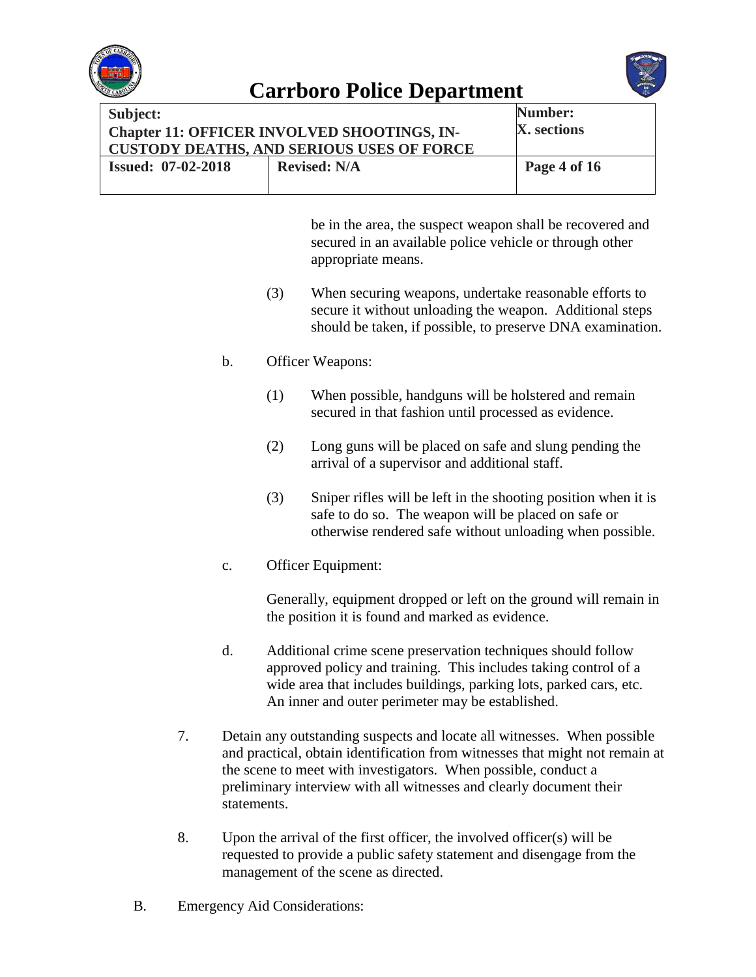



| Subject:<br><b>Chapter 11: OFFICER INVOLVED SHOOTINGS, IN-</b><br><b>CUSTODY DEATHS, AND SERIOUS USES OF FORCE</b> |                     | Number:<br>X. sections |
|--------------------------------------------------------------------------------------------------------------------|---------------------|------------------------|
| <b>Issued: 07-02-2018</b>                                                                                          | <b>Revised: N/A</b> | Page 4 of 16           |

be in the area, the suspect weapon shall be recovered and secured in an available police vehicle or through other appropriate means.

- (3) When securing weapons, undertake reasonable efforts to secure it without unloading the weapon. Additional steps should be taken, if possible, to preserve DNA examination.
- b. Officer Weapons:
	- (1) When possible, handguns will be holstered and remain secured in that fashion until processed as evidence.
	- (2) Long guns will be placed on safe and slung pending the arrival of a supervisor and additional staff.
	- (3) Sniper rifles will be left in the shooting position when it is safe to do so. The weapon will be placed on safe or otherwise rendered safe without unloading when possible.
- c. Officer Equipment:

Generally, equipment dropped or left on the ground will remain in the position it is found and marked as evidence.

- d. Additional crime scene preservation techniques should follow approved policy and training. This includes taking control of a wide area that includes buildings, parking lots, parked cars, etc. An inner and outer perimeter may be established.
- 7. Detain any outstanding suspects and locate all witnesses. When possible and practical, obtain identification from witnesses that might not remain at the scene to meet with investigators. When possible, conduct a preliminary interview with all witnesses and clearly document their statements.
- 8. Upon the arrival of the first officer, the involved officer(s) will be requested to provide a public safety statement and disengage from the management of the scene as directed.
- B. Emergency Aid Considerations: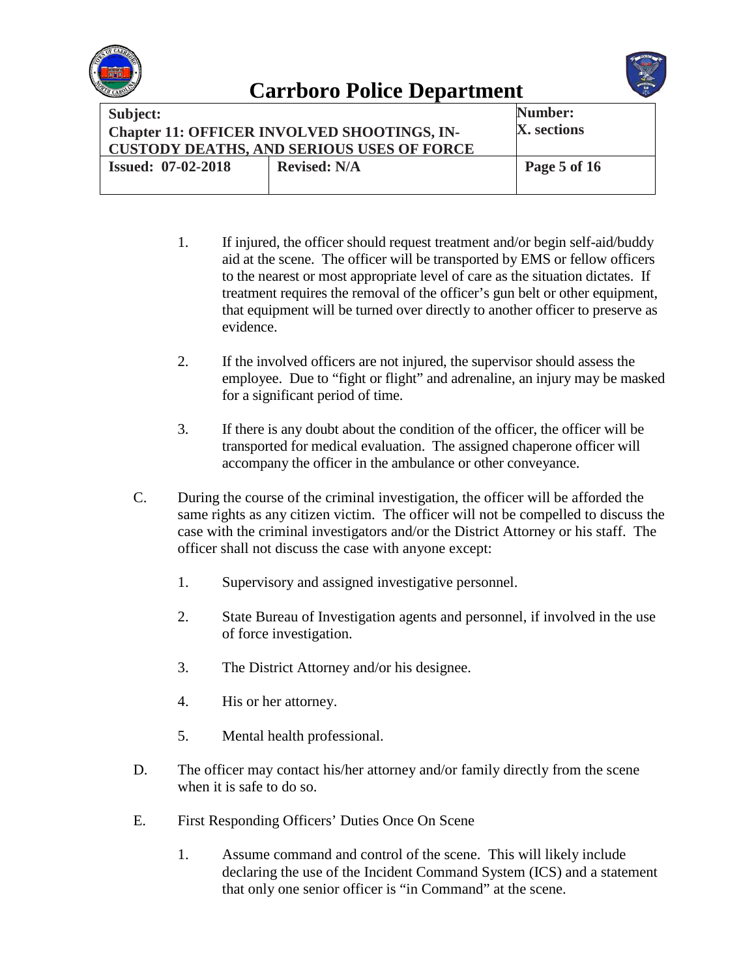



| <b>Subject:</b><br>Chapter 11: OFFICER INVOLVED SHOOTINGS, IN-<br><b>CUSTODY DEATHS, AND SERIOUS USES OF FORCE</b> |                     | Number:<br>X. sections |
|--------------------------------------------------------------------------------------------------------------------|---------------------|------------------------|
| <b>Issued: 07-02-2018</b>                                                                                          | <b>Revised: N/A</b> | Page 5 of 16           |

- 1. If injured, the officer should request treatment and/or begin self-aid/buddy aid at the scene. The officer will be transported by EMS or fellow officers to the nearest or most appropriate level of care as the situation dictates. If treatment requires the removal of the officer's gun belt or other equipment, that equipment will be turned over directly to another officer to preserve as evidence.
- 2. If the involved officers are not injured, the supervisor should assess the employee. Due to "fight or flight" and adrenaline, an injury may be masked for a significant period of time.
- 3. If there is any doubt about the condition of the officer, the officer will be transported for medical evaluation. The assigned chaperone officer will accompany the officer in the ambulance or other conveyance.
- C. During the course of the criminal investigation, the officer will be afforded the same rights as any citizen victim. The officer will not be compelled to discuss the case with the criminal investigators and/or the District Attorney or his staff. The officer shall not discuss the case with anyone except:
	- 1. Supervisory and assigned investigative personnel.
	- 2. State Bureau of Investigation agents and personnel, if involved in the use of force investigation.
	- 3. The District Attorney and/or his designee.
	- 4. His or her attorney.
	- 5. Mental health professional.
- D. The officer may contact his/her attorney and/or family directly from the scene when it is safe to do so.
- E. First Responding Officers' Duties Once On Scene
	- 1. Assume command and control of the scene. This will likely include declaring the use of the Incident Command System (ICS) and a statement that only one senior officer is "in Command" at the scene.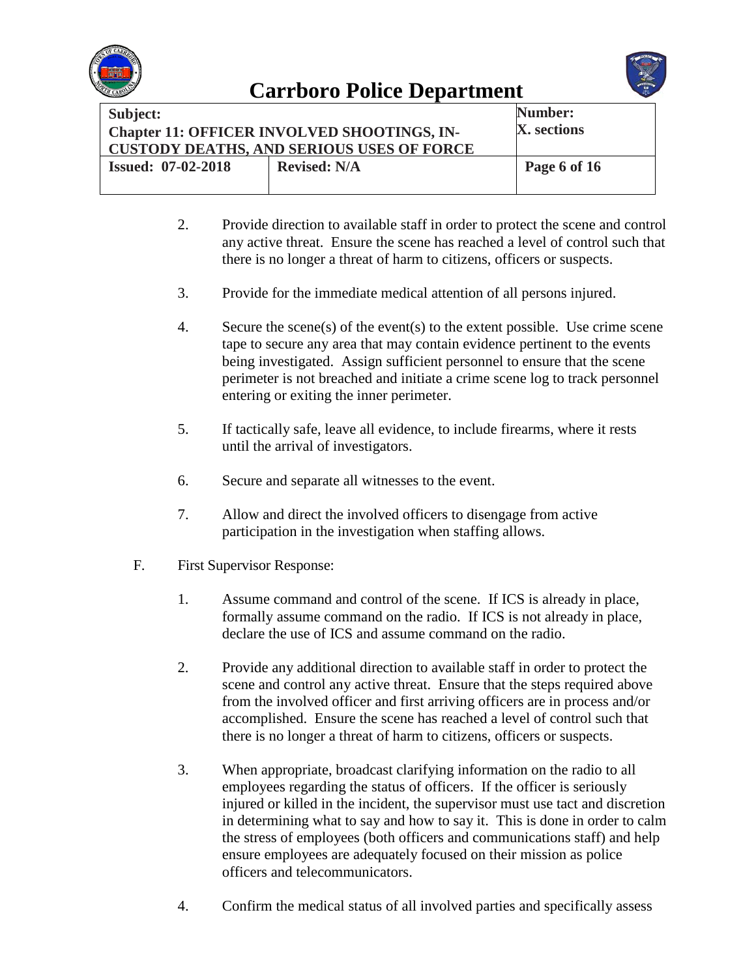



| Subject:                  | <b>Chapter 11: OFFICER INVOLVED SHOOTINGS, IN-</b><br><b>CUSTODY DEATHS, AND SERIOUS USES OF FORCE</b> | <b>Number:</b><br>X. sections |
|---------------------------|--------------------------------------------------------------------------------------------------------|-------------------------------|
| <b>Issued: 07-02-2018</b> | <b>Revised: N/A</b>                                                                                    | Page 6 of 16                  |

- 2. Provide direction to available staff in order to protect the scene and control any active threat. Ensure the scene has reached a level of control such that there is no longer a threat of harm to citizens, officers or suspects.
- 3. Provide for the immediate medical attention of all persons injured.
- 4. Secure the scene(s) of the event(s) to the extent possible. Use crime scene tape to secure any area that may contain evidence pertinent to the events being investigated. Assign sufficient personnel to ensure that the scene perimeter is not breached and initiate a crime scene log to track personnel entering or exiting the inner perimeter.
- 5. If tactically safe, leave all evidence, to include firearms, where it rests until the arrival of investigators.
- 6. Secure and separate all witnesses to the event.
- 7. Allow and direct the involved officers to disengage from active participation in the investigation when staffing allows.
- F. First Supervisor Response:
	- 1. Assume command and control of the scene. If ICS is already in place, formally assume command on the radio. If ICS is not already in place, declare the use of ICS and assume command on the radio.
	- 2. Provide any additional direction to available staff in order to protect the scene and control any active threat. Ensure that the steps required above from the involved officer and first arriving officers are in process and/or accomplished. Ensure the scene has reached a level of control such that there is no longer a threat of harm to citizens, officers or suspects.
	- 3. When appropriate, broadcast clarifying information on the radio to all employees regarding the status of officers. If the officer is seriously injured or killed in the incident, the supervisor must use tact and discretion in determining what to say and how to say it. This is done in order to calm the stress of employees (both officers and communications staff) and help ensure employees are adequately focused on their mission as police officers and telecommunicators.
	- 4. Confirm the medical status of all involved parties and specifically assess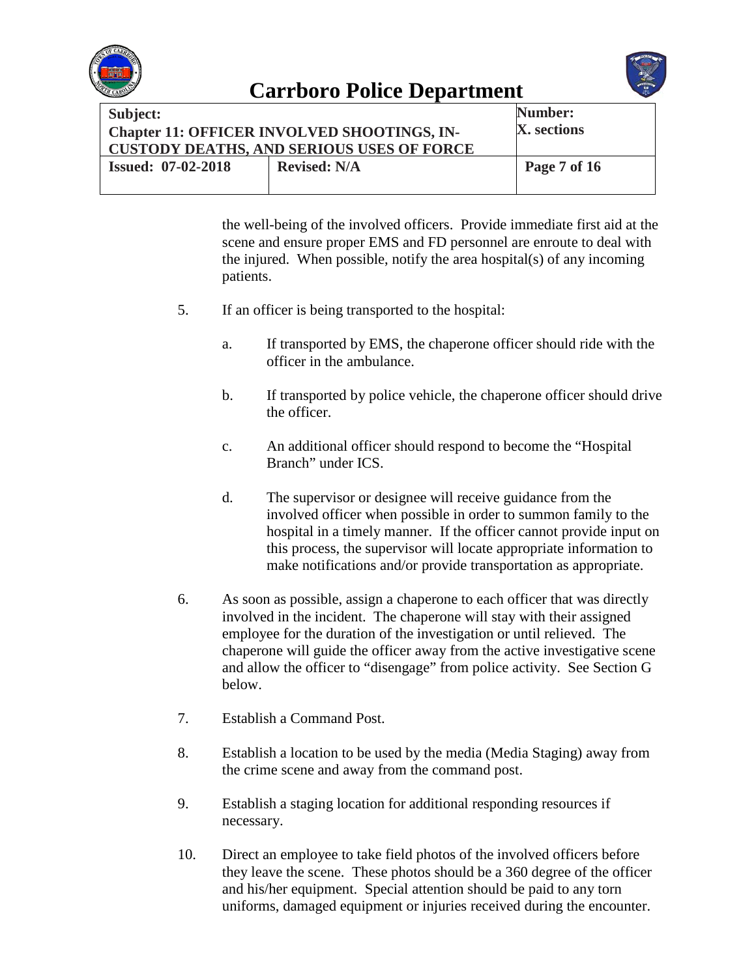



| Subject:<br><b>Chapter 11: OFFICER INVOLVED SHOOTINGS, IN-</b><br><b>CUSTODY DEATHS, AND SERIOUS USES OF FORCE</b> |                     | Number:<br>X. sections |
|--------------------------------------------------------------------------------------------------------------------|---------------------|------------------------|
| <b>Issued: 07-02-2018</b>                                                                                          | <b>Revised: N/A</b> | Page 7 of 16           |

the well-being of the involved officers. Provide immediate first aid at the scene and ensure proper EMS and FD personnel are enroute to deal with the injured. When possible, notify the area hospital(s) of any incoming patients.

- 5. If an officer is being transported to the hospital:
	- a. If transported by EMS, the chaperone officer should ride with the officer in the ambulance.
	- b. If transported by police vehicle, the chaperone officer should drive the officer.
	- c. An additional officer should respond to become the "Hospital Branch" under ICS.
	- d. The supervisor or designee will receive guidance from the involved officer when possible in order to summon family to the hospital in a timely manner. If the officer cannot provide input on this process, the supervisor will locate appropriate information to make notifications and/or provide transportation as appropriate.
- 6. As soon as possible, assign a chaperone to each officer that was directly involved in the incident. The chaperone will stay with their assigned employee for the duration of the investigation or until relieved. The chaperone will guide the officer away from the active investigative scene and allow the officer to "disengage" from police activity. See Section G below.
- 7. Establish a Command Post.
- 8. Establish a location to be used by the media (Media Staging) away from the crime scene and away from the command post.
- 9. Establish a staging location for additional responding resources if necessary.
- 10. Direct an employee to take field photos of the involved officers before they leave the scene. These photos should be a 360 degree of the officer and his/her equipment. Special attention should be paid to any torn uniforms, damaged equipment or injuries received during the encounter.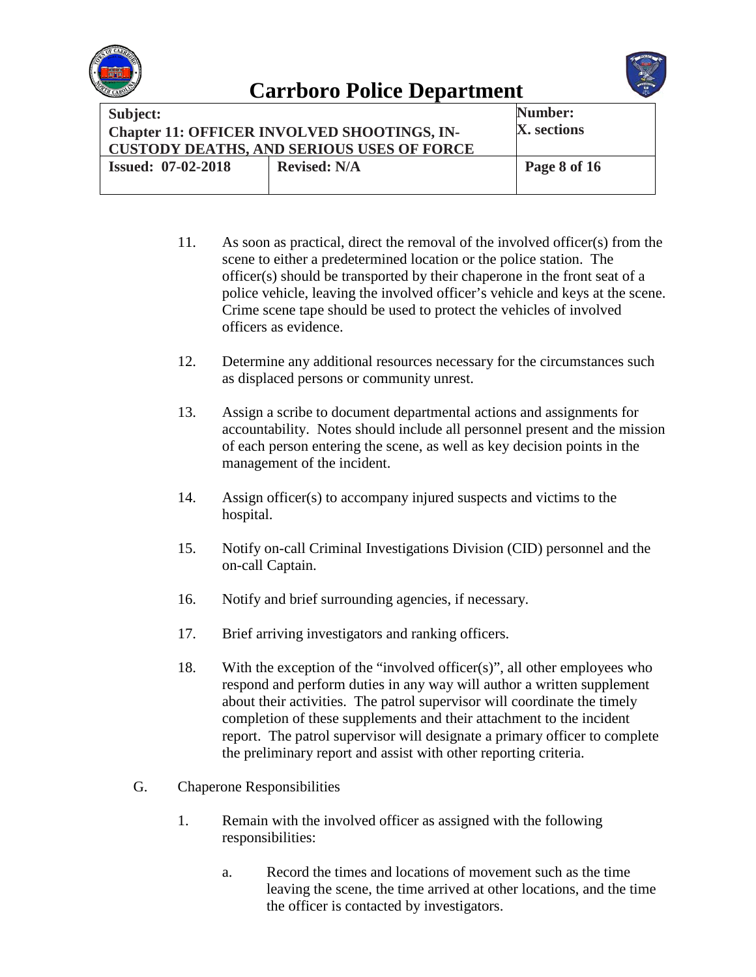



| <b>Subject:</b><br><b>Chapter 11: OFFICER INVOLVED SHOOTINGS, IN-</b><br><b>CUSTODY DEATHS, AND SERIOUS USES OF FORCE</b> |                     | Number:<br>X. sections |
|---------------------------------------------------------------------------------------------------------------------------|---------------------|------------------------|
| <b>Issued: 07-02-2018</b>                                                                                                 | <b>Revised: N/A</b> | Page 8 of 16           |

- 11. As soon as practical, direct the removal of the involved officer(s) from the scene to either a predetermined location or the police station. The officer(s) should be transported by their chaperone in the front seat of a police vehicle, leaving the involved officer's vehicle and keys at the scene. Crime scene tape should be used to protect the vehicles of involved officers as evidence.
- 12. Determine any additional resources necessary for the circumstances such as displaced persons or community unrest.
- 13. Assign a scribe to document departmental actions and assignments for accountability. Notes should include all personnel present and the mission of each person entering the scene, as well as key decision points in the management of the incident.
- 14. Assign officer(s) to accompany injured suspects and victims to the hospital.
- 15. Notify on-call Criminal Investigations Division (CID) personnel and the on-call Captain.
- 16. Notify and brief surrounding agencies, if necessary.
- 17. Brief arriving investigators and ranking officers.
- 18. With the exception of the "involved officer(s)", all other employees who respond and perform duties in any way will author a written supplement about their activities. The patrol supervisor will coordinate the timely completion of these supplements and their attachment to the incident report. The patrol supervisor will designate a primary officer to complete the preliminary report and assist with other reporting criteria.
- G. Chaperone Responsibilities
	- 1. Remain with the involved officer as assigned with the following responsibilities:
		- a. Record the times and locations of movement such as the time leaving the scene, the time arrived at other locations, and the time the officer is contacted by investigators.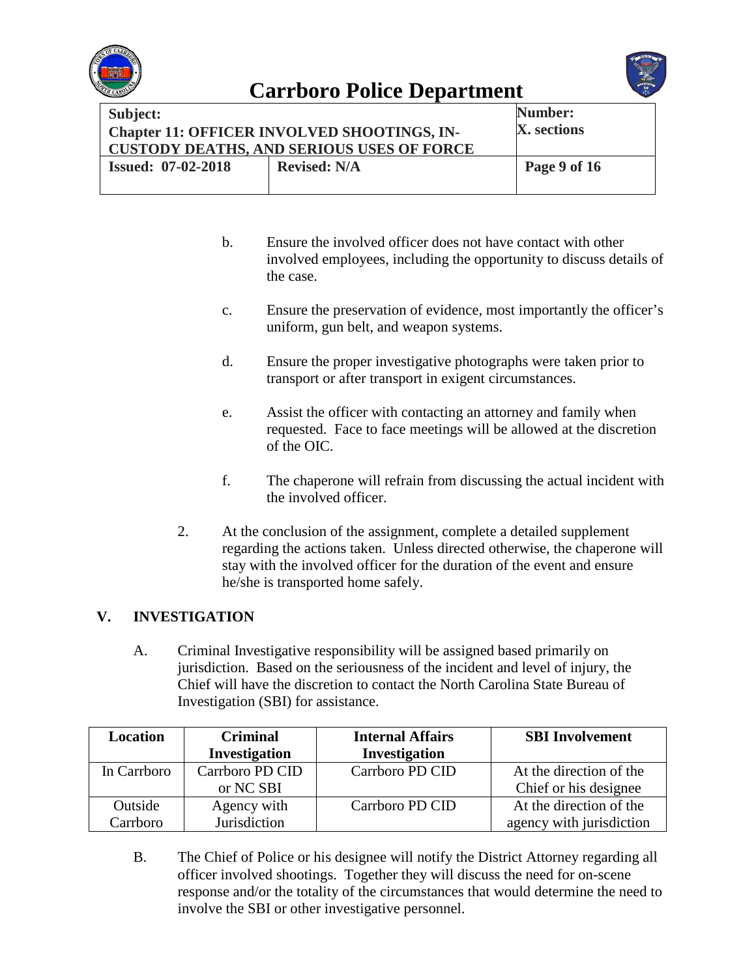



| Subject:<br><b>Chapter 11: OFFICER INVOLVED SHOOTINGS, IN-</b><br><b>CUSTODY DEATHS, AND SERIOUS USES OF FORCE</b> |                     | Number:<br>X. sections |
|--------------------------------------------------------------------------------------------------------------------|---------------------|------------------------|
| <b>Issued: 07-02-2018</b>                                                                                          | <b>Revised: N/A</b> | Page 9 of 16           |

- b. Ensure the involved officer does not have contact with other involved employees, including the opportunity to discuss details of the case.
- c. Ensure the preservation of evidence, most importantly the officer's uniform, gun belt, and weapon systems.
- d. Ensure the proper investigative photographs were taken prior to transport or after transport in exigent circumstances.
- e. Assist the officer with contacting an attorney and family when requested. Face to face meetings will be allowed at the discretion of the OIC.
- f. The chaperone will refrain from discussing the actual incident with the involved officer.
- 2. At the conclusion of the assignment, complete a detailed supplement regarding the actions taken. Unless directed otherwise, the chaperone will stay with the involved officer for the duration of the event and ensure he/she is transported home safely.

### **V. INVESTIGATION**

A. Criminal Investigative responsibility will be assigned based primarily on jurisdiction. Based on the seriousness of the incident and level of injury, the Chief will have the discretion to contact the North Carolina State Bureau of Investigation (SBI) for assistance.

| Location    | <b>Criminal</b>      | <b>Internal Affairs</b> | <b>SBI</b> Involvement   |
|-------------|----------------------|-------------------------|--------------------------|
|             | <b>Investigation</b> | Investigation           |                          |
| In Carrboro | Carrboro PD CID      | Carrboro PD CID         | At the direction of the  |
|             | or NC SBI            |                         | Chief or his designee    |
| Outside     | Agency with          | Carrboro PD CID         | At the direction of the  |
| Carrboro    | Jurisdiction         |                         | agency with jurisdiction |

B. The Chief of Police or his designee will notify the District Attorney regarding all officer involved shootings. Together they will discuss the need for on-scene response and/or the totality of the circumstances that would determine the need to involve the SBI or other investigative personnel.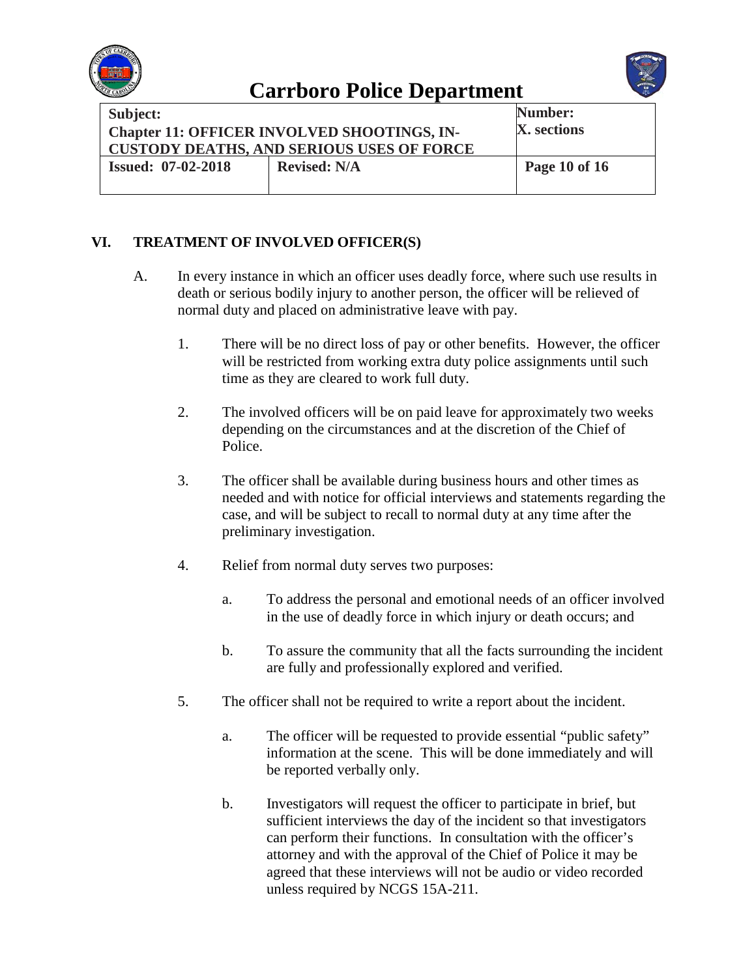



| <b>Subject:</b>                                    |  | <b>Number:</b> |
|----------------------------------------------------|--|----------------|
| <b>Chapter 11: OFFICER INVOLVED SHOOTINGS, IN-</b> |  | X. sections    |
| <b>CUSTODY DEATHS, AND SERIOUS USES OF FORCE</b>   |  |                |
| <b>Issued: 07-02-2018</b><br><b>Revised: N/A</b>   |  | Page 10 of 16  |
|                                                    |  |                |

### **VI. TREATMENT OF INVOLVED OFFICER(S)**

- A. In every instance in which an officer uses deadly force, where such use results in death or serious bodily injury to another person, the officer will be relieved of normal duty and placed on administrative leave with pay.
	- 1. There will be no direct loss of pay or other benefits. However, the officer will be restricted from working extra duty police assignments until such time as they are cleared to work full duty.
	- 2. The involved officers will be on paid leave for approximately two weeks depending on the circumstances and at the discretion of the Chief of Police.
	- 3. The officer shall be available during business hours and other times as needed and with notice for official interviews and statements regarding the case, and will be subject to recall to normal duty at any time after the preliminary investigation.
	- 4. Relief from normal duty serves two purposes:
		- a. To address the personal and emotional needs of an officer involved in the use of deadly force in which injury or death occurs; and
		- b. To assure the community that all the facts surrounding the incident are fully and professionally explored and verified.
	- 5. The officer shall not be required to write a report about the incident.
		- a. The officer will be requested to provide essential "public safety" information at the scene. This will be done immediately and will be reported verbally only.
		- b. Investigators will request the officer to participate in brief, but sufficient interviews the day of the incident so that investigators can perform their functions. In consultation with the officer's attorney and with the approval of the Chief of Police it may be agreed that these interviews will not be audio or video recorded unless required by NCGS 15A-211.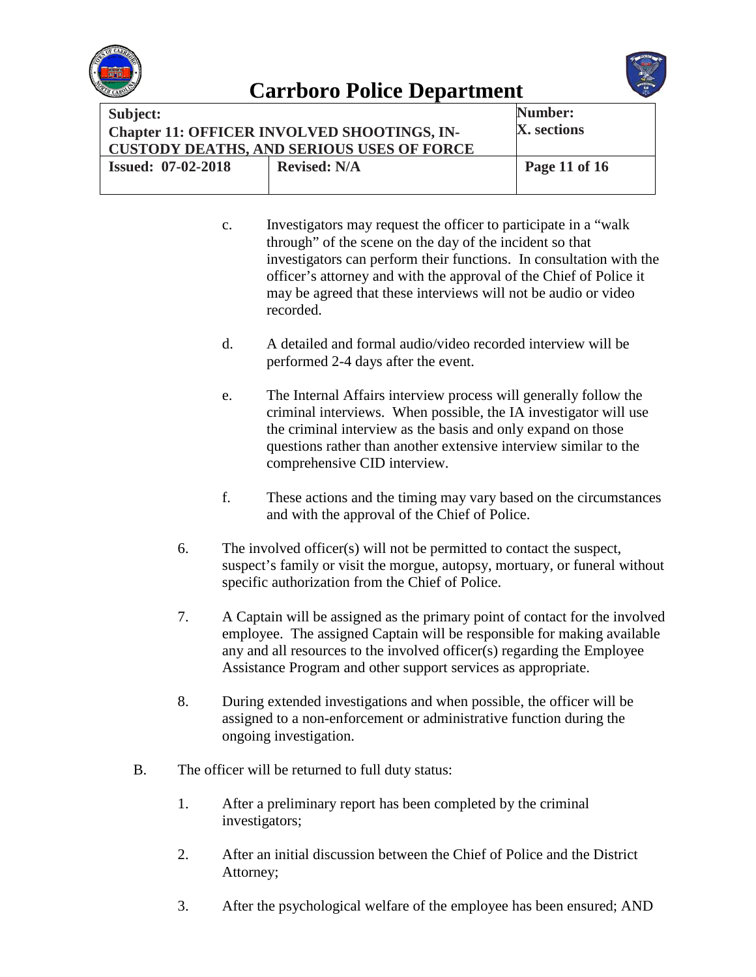



| Subject:<br><b>Chapter 11: OFFICER INVOLVED SHOOTINGS, IN-</b><br><b>CUSTODY DEATHS, AND SERIOUS USES OF FORCE</b> |  | Number:<br>X. sections |
|--------------------------------------------------------------------------------------------------------------------|--|------------------------|
| <b>Issued: 07-02-2018</b><br><b>Revised: N/A</b>                                                                   |  | Page 11 of 16          |

- c. Investigators may request the officer to participate in a "walk through" of the scene on the day of the incident so that investigators can perform their functions. In consultation with the officer's attorney and with the approval of the Chief of Police it may be agreed that these interviews will not be audio or video recorded.
- d. A detailed and formal audio/video recorded interview will be performed 2-4 days after the event.
- e. The Internal Affairs interview process will generally follow the criminal interviews. When possible, the IA investigator will use the criminal interview as the basis and only expand on those questions rather than another extensive interview similar to the comprehensive CID interview.
- f. These actions and the timing may vary based on the circumstances and with the approval of the Chief of Police.
- 6. The involved officer(s) will not be permitted to contact the suspect, suspect's family or visit the morgue, autopsy, mortuary, or funeral without specific authorization from the Chief of Police.
- 7. A Captain will be assigned as the primary point of contact for the involved employee. The assigned Captain will be responsible for making available any and all resources to the involved officer(s) regarding the Employee Assistance Program and other support services as appropriate.
- 8. During extended investigations and when possible, the officer will be assigned to a non-enforcement or administrative function during the ongoing investigation.
- B. The officer will be returned to full duty status:
	- 1. After a preliminary report has been completed by the criminal investigators;
	- 2. After an initial discussion between the Chief of Police and the District Attorney;
	- 3. After the psychological welfare of the employee has been ensured; AND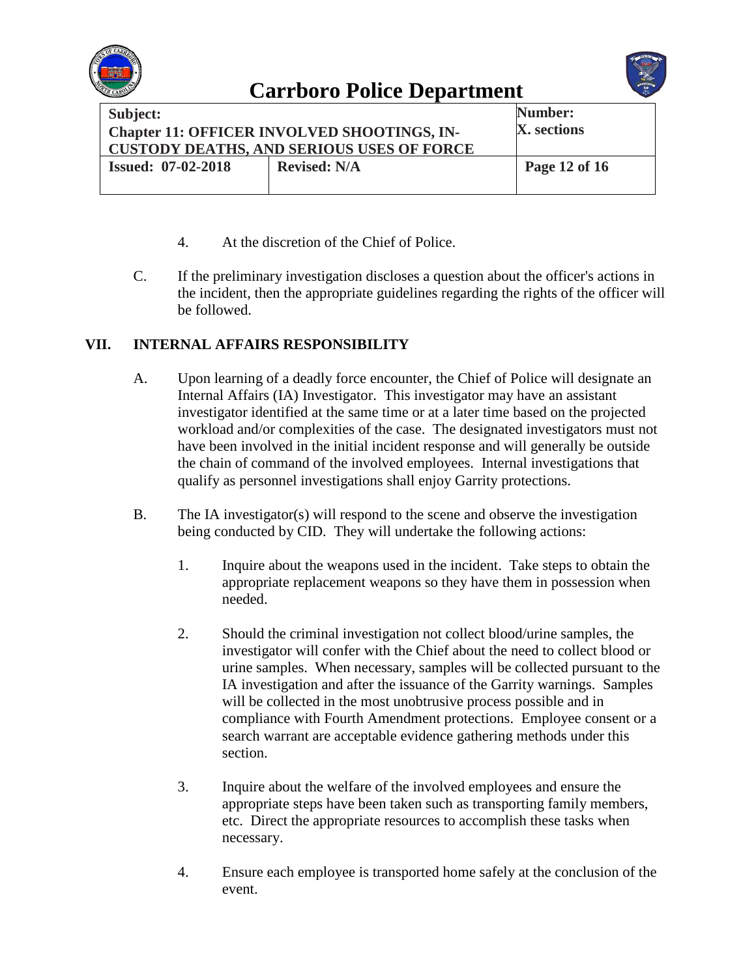



| Subject:                                           |                     | Number:       |
|----------------------------------------------------|---------------------|---------------|
| <b>Chapter 11: OFFICER INVOLVED SHOOTINGS, IN-</b> |                     | X. sections   |
| <b>CUSTODY DEATHS, AND SERIOUS USES OF FORCE</b>   |                     |               |
| <b>Issued: 07-02-2018</b>                          | <b>Revised: N/A</b> | Page 12 of 16 |
|                                                    |                     |               |

- 4. At the discretion of the Chief of Police.
- C. If the preliminary investigation discloses a question about the officer's actions in the incident, then the appropriate guidelines regarding the rights of the officer will be followed.

### **VII. INTERNAL AFFAIRS RESPONSIBILITY**

- A. Upon learning of a deadly force encounter, the Chief of Police will designate an Internal Affairs (IA) Investigator. This investigator may have an assistant investigator identified at the same time or at a later time based on the projected workload and/or complexities of the case. The designated investigators must not have been involved in the initial incident response and will generally be outside the chain of command of the involved employees. Internal investigations that qualify as personnel investigations shall enjoy Garrity protections.
- B. The IA investigator(s) will respond to the scene and observe the investigation being conducted by CID. They will undertake the following actions:
	- 1. Inquire about the weapons used in the incident. Take steps to obtain the appropriate replacement weapons so they have them in possession when needed.
	- 2. Should the criminal investigation not collect blood/urine samples, the investigator will confer with the Chief about the need to collect blood or urine samples. When necessary, samples will be collected pursuant to the IA investigation and after the issuance of the Garrity warnings. Samples will be collected in the most unobtrusive process possible and in compliance with Fourth Amendment protections. Employee consent or a search warrant are acceptable evidence gathering methods under this section.
	- 3. Inquire about the welfare of the involved employees and ensure the appropriate steps have been taken such as transporting family members, etc. Direct the appropriate resources to accomplish these tasks when necessary.
	- 4. Ensure each employee is transported home safely at the conclusion of the event.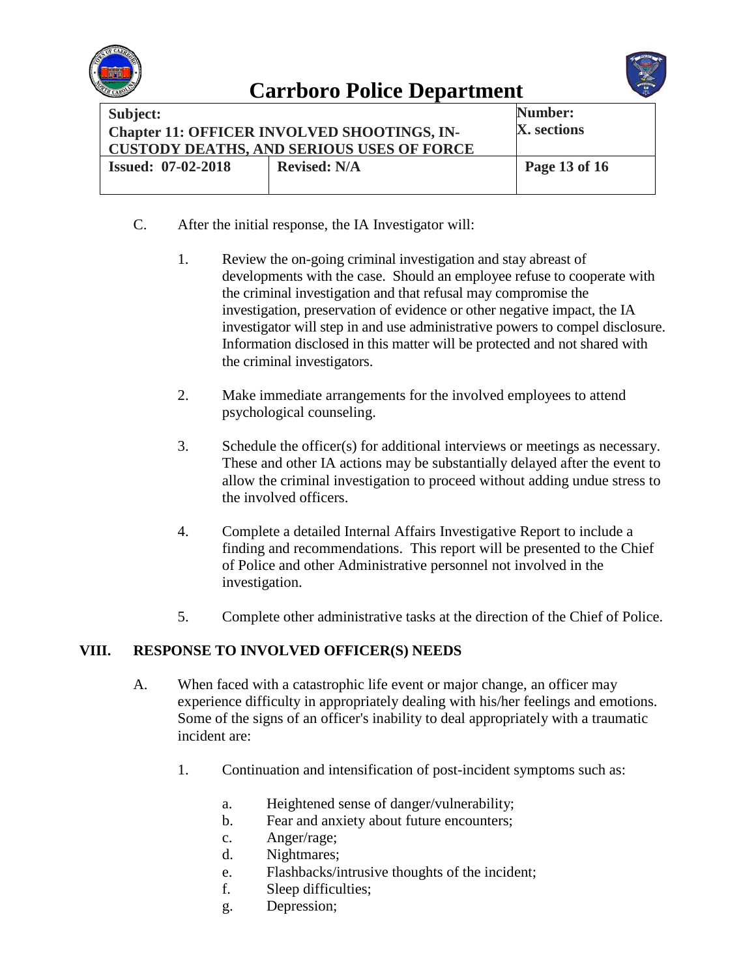



| <b>Subject:</b>                                    |                     | Number:       |
|----------------------------------------------------|---------------------|---------------|
| <b>Chapter 11: OFFICER INVOLVED SHOOTINGS, IN-</b> |                     | X. sections   |
| <b>CUSTODY DEATHS, AND SERIOUS USES OF FORCE</b>   |                     |               |
| <b>Issued: 07-02-2018</b>                          | <b>Revised: N/A</b> | Page 13 of 16 |
|                                                    |                     |               |

- C. After the initial response, the IA Investigator will:
	- 1. Review the on-going criminal investigation and stay abreast of developments with the case. Should an employee refuse to cooperate with the criminal investigation and that refusal may compromise the investigation, preservation of evidence or other negative impact, the IA investigator will step in and use administrative powers to compel disclosure. Information disclosed in this matter will be protected and not shared with the criminal investigators.
	- 2. Make immediate arrangements for the involved employees to attend psychological counseling.
	- 3. Schedule the officer(s) for additional interviews or meetings as necessary. These and other IA actions may be substantially delayed after the event to allow the criminal investigation to proceed without adding undue stress to the involved officers.
	- 4. Complete a detailed Internal Affairs Investigative Report to include a finding and recommendations. This report will be presented to the Chief of Police and other Administrative personnel not involved in the investigation.
	- 5. Complete other administrative tasks at the direction of the Chief of Police.

### **VIII. RESPONSE TO INVOLVED OFFICER(S) NEEDS**

- A. When faced with a catastrophic life event or major change, an officer may experience difficulty in appropriately dealing with his/her feelings and emotions. Some of the signs of an officer's inability to deal appropriately with a traumatic incident are:
	- 1. Continuation and intensification of post-incident symptoms such as:
		- a. Heightened sense of danger/vulnerability;
		- b. Fear and anxiety about future encounters;
		- c. Anger/rage;
		- d. Nightmares;
		- e. Flashbacks/intrusive thoughts of the incident;
		- f. Sleep difficulties;
		- g. Depression;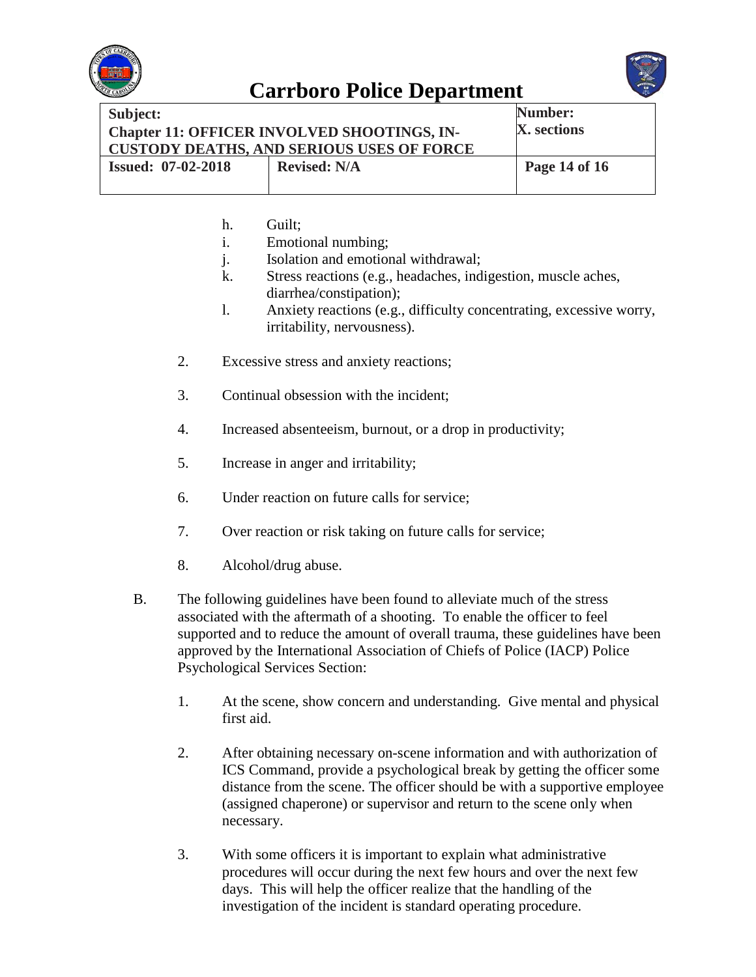



| Subject:<br><b>Chapter 11: OFFICER INVOLVED SHOOTINGS, IN-</b><br><b>CUSTODY DEATHS, AND SERIOUS USES OF FORCE</b> |                     | Number:<br>X. sections |
|--------------------------------------------------------------------------------------------------------------------|---------------------|------------------------|
| <b>Issued: 07-02-2018</b>                                                                                          | <b>Revised: N/A</b> | Page 14 of 16          |

- h. Guilt;
- i. Emotional numbing;
- j. Isolation and emotional withdrawal;
- k. Stress reactions (e.g., headaches, indigestion, muscle aches, diarrhea/constipation);
- l. Anxiety reactions (e.g., difficulty concentrating, excessive worry, irritability, nervousness).
- 2. Excessive stress and anxiety reactions;
- 3. Continual obsession with the incident;
- 4. Increased absenteeism, burnout, or a drop in productivity;
- 5. Increase in anger and irritability;
- 6. Under reaction on future calls for service;
- 7. Over reaction or risk taking on future calls for service;
- 8. Alcohol/drug abuse.
- B. The following guidelines have been found to alleviate much of the stress associated with the aftermath of a shooting. To enable the officer to feel supported and to reduce the amount of overall trauma, these guidelines have been approved by the International Association of Chiefs of Police (IACP) Police Psychological Services Section:
	- 1. At the scene, show concern and understanding. Give mental and physical first aid.
	- 2. After obtaining necessary on-scene information and with authorization of ICS Command, provide a psychological break by getting the officer some distance from the scene. The officer should be with a supportive employee (assigned chaperone) or supervisor and return to the scene only when necessary.
	- 3. With some officers it is important to explain what administrative procedures will occur during the next few hours and over the next few days. This will help the officer realize that the handling of the investigation of the incident is standard operating procedure.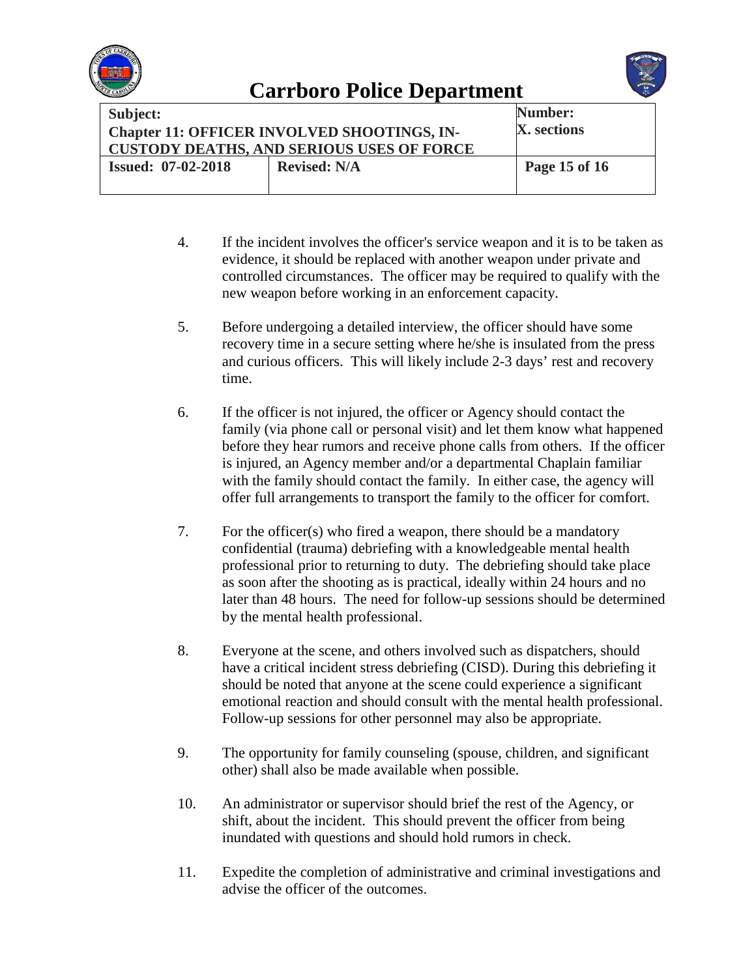



| <b>Subject:</b><br>Chapter 11: OFFICER INVOLVED SHOOTINGS, IN-<br><b>CUSTODY DEATHS, AND SERIOUS USES OF FORCE</b> |                     | Number:<br>X. sections |
|--------------------------------------------------------------------------------------------------------------------|---------------------|------------------------|
| <b>Issued: 07-02-2018</b>                                                                                          | <b>Revised: N/A</b> | Page 15 of 16          |

- 4. If the incident involves the officer's service weapon and it is to be taken as evidence, it should be replaced with another weapon under private and controlled circumstances. The officer may be required to qualify with the new weapon before working in an enforcement capacity.
- 5. Before undergoing a detailed interview, the officer should have some recovery time in a secure setting where he/she is insulated from the press and curious officers. This will likely include 2-3 days' rest and recovery time.
- 6. If the officer is not injured, the officer or Agency should contact the family (via phone call or personal visit) and let them know what happened before they hear rumors and receive phone calls from others. If the officer is injured, an Agency member and/or a departmental Chaplain familiar with the family should contact the family. In either case, the agency will offer full arrangements to transport the family to the officer for comfort.
- 7. For the officer(s) who fired a weapon, there should be a mandatory confidential (trauma) debriefing with a knowledgeable mental health professional prior to returning to duty. The debriefing should take place as soon after the shooting as is practical, ideally within 24 hours and no later than 48 hours. The need for follow-up sessions should be determined by the mental health professional.
- 8. Everyone at the scene, and others involved such as dispatchers, should have a critical incident stress debriefing (CISD). During this debriefing it should be noted that anyone at the scene could experience a significant emotional reaction and should consult with the mental health professional. Follow-up sessions for other personnel may also be appropriate.
- 9. The opportunity for family counseling (spouse, children, and significant other) shall also be made available when possible.
- 10. An administrator or supervisor should brief the rest of the Agency, or shift, about the incident. This should prevent the officer from being inundated with questions and should hold rumors in check.
- 11. Expedite the completion of administrative and criminal investigations and advise the officer of the outcomes.